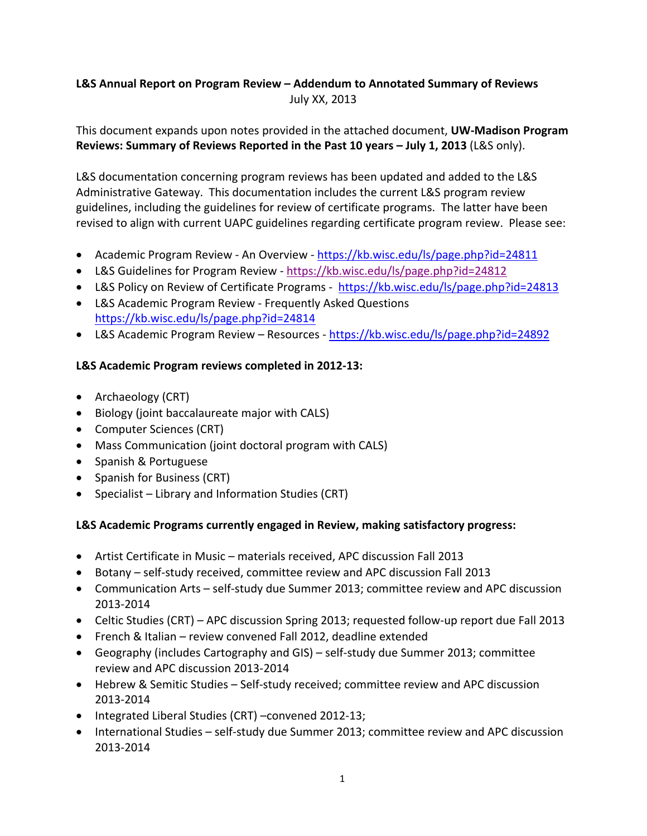# **L&S Annual Report on Program Review – Addendum to Annotated Summary of Reviews**  July XX, 2013

This document expands upon notes provided in the attached document, **UW‐Madison Program Reviews: Summary of Reviews Reported in the Past 10 years – July 1, 2013** (L&S only).

L&S documentation concerning program reviews has been updated and added to the L&S Administrative Gateway. This documentation includes the current L&S program review guidelines, including the guidelines for review of certificate programs. The latter have been revised to align with current UAPC guidelines regarding certificate program review. Please see:

- Academic Program Review An Overview https://kb.wisc.edu/ls/page.php?id=24811
- L&S Guidelines for Program Review ‐ https://kb.wisc.edu/ls/page.php?id=24812
- L&S Policy on Review of Certificate Programs ‐ https://kb.wisc.edu/ls/page.php?id=24813
- L&S Academic Program Review Frequently Asked Questions https://kb.wisc.edu/ls/page.php?id=24814
- L&S Academic Program Review Resources https://kb.wisc.edu/ls/page.php?id=24892

## **L&S Academic Program reviews completed in 2012‐13:**

- Archaeology (CRT)
- Biology (joint baccalaureate major with CALS)
- Computer Sciences (CRT)
- Mass Communication (joint doctoral program with CALS)
- Spanish & Portuguese
- Spanish for Business (CRT)
- Specialist Library and Information Studies (CRT)

## **L&S Academic Programs currently engaged in Review, making satisfactory progress:**

- Artist Certificate in Music materials received, APC discussion Fall 2013
- Botany self-study received, committee review and APC discussion Fall 2013
- Communication Arts self-study due Summer 2013; committee review and APC discussion 2013‐2014
- Celtic Studies (CRT) APC discussion Spring 2013; requested follow‐up report due Fall 2013
- French & Italian review convened Fall 2012, deadline extended
- Geography (includes Cartography and GIS) self-study due Summer 2013; committee review and APC discussion 2013‐2014
- Hebrew & Semitic Studies Self‐study received; committee review and APC discussion 2013‐2014
- Integrated Liberal Studies (CRT) –convened 2012-13;
- International Studies self-study due Summer 2013; committee review and APC discussion 2013‐2014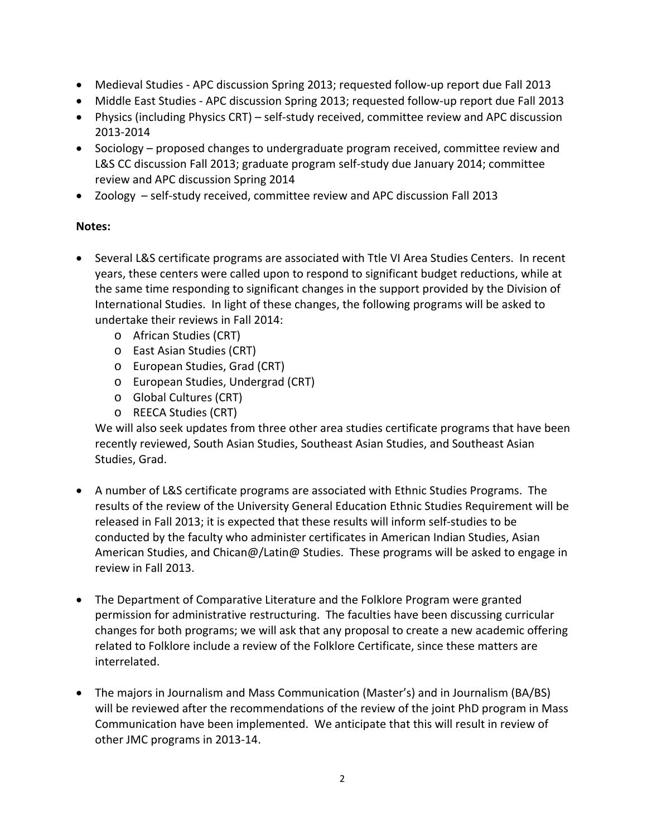- Medieval Studies APC discussion Spring 2013; requested follow-up report due Fall 2013
- Middle East Studies APC discussion Spring 2013; requested follow-up report due Fall 2013
- Physics (including Physics CRT) self-study received, committee review and APC discussion 2013‐2014
- Sociology proposed changes to undergraduate program received, committee review and L&S CC discussion Fall 2013; graduate program self‐study due January 2014; committee review and APC discussion Spring 2014
- Zoology self-study received, committee review and APC discussion Fall 2013

## **Notes:**

- Several L&S certificate programs are associated with Ttle VI Area Studies Centers. In recent years, these centers were called upon to respond to significant budget reductions, while at the same time responding to significant changes in the support provided by the Division of International Studies. In light of these changes, the following programs will be asked to undertake their reviews in Fall 2014:
	- o African Studies (CRT)
	- o East Asian Studies (CRT)
	- o European Studies, Grad (CRT)
	- o European Studies, Undergrad (CRT)
	- o Global Cultures (CRT)
	- o REECA Studies (CRT)

We will also seek updates from three other area studies certificate programs that have been recently reviewed, South Asian Studies, Southeast Asian Studies, and Southeast Asian Studies, Grad.

- A number of L&S certificate programs are associated with Ethnic Studies Programs. The results of the review of the University General Education Ethnic Studies Requirement will be released in Fall 2013; it is expected that these results will inform self‐studies to be conducted by the faculty who administer certificates in American Indian Studies, Asian American Studies, and Chican@/Latin@ Studies. These programs will be asked to engage in review in Fall 2013.
- The Department of Comparative Literature and the Folklore Program were granted permission for administrative restructuring. The faculties have been discussing curricular changes for both programs; we will ask that any proposal to create a new academic offering related to Folklore include a review of the Folklore Certificate, since these matters are interrelated.
- The majors in Journalism and Mass Communication (Master's) and in Journalism (BA/BS) will be reviewed after the recommendations of the review of the joint PhD program in Mass Communication have been implemented. We anticipate that this will result in review of other JMC programs in 2013‐14.